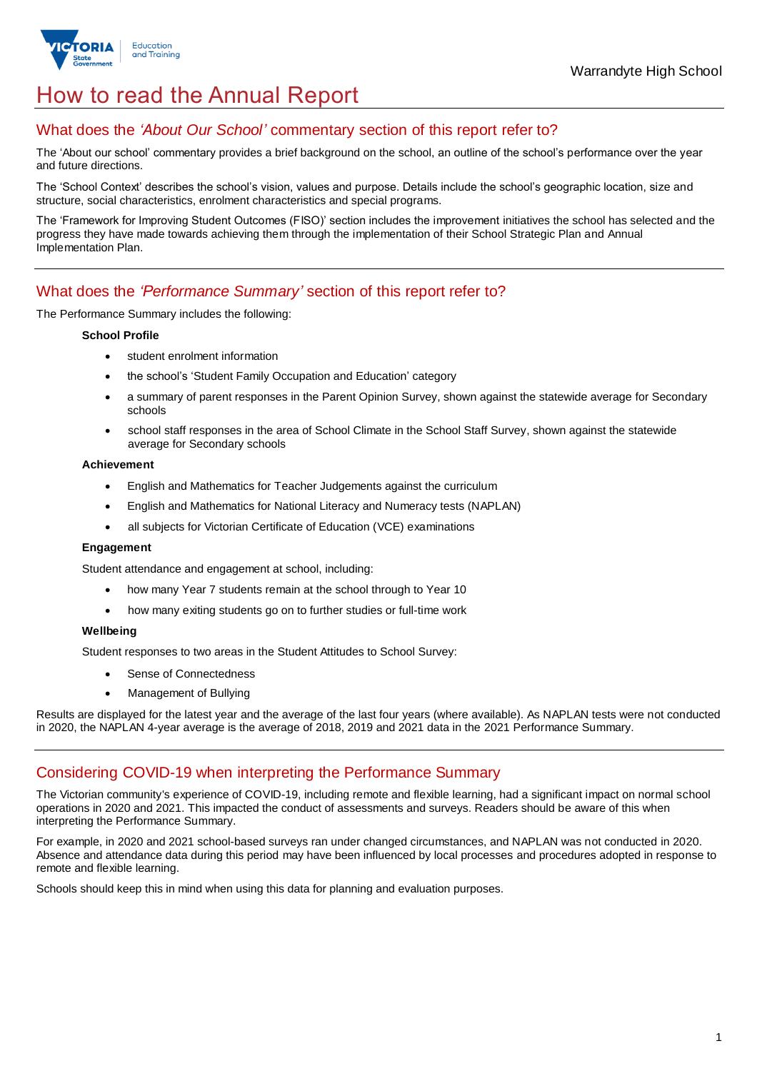

# How to read the Annual Report

### What does the *'About Our School'* commentary section of this report refer to?

The 'About our school' commentary provides a brief background on the school, an outline of the school's performance over the year and future directions.

The 'School Context' describes the school's vision, values and purpose. Details include the school's geographic location, size and structure, social characteristics, enrolment characteristics and special programs.

The 'Framework for Improving Student Outcomes (FISO)' section includes the improvement initiatives the school has selected and the progress they have made towards achieving them through the implementation of their School Strategic Plan and Annual Implementation Plan.

### What does the *'Performance Summary'* section of this report refer to?

The Performance Summary includes the following:

#### **School Profile**

- student enrolment information
- the school's 'Student Family Occupation and Education' category
- a summary of parent responses in the Parent Opinion Survey, shown against the statewide average for Secondary schools
- school staff responses in the area of School Climate in the School Staff Survey, shown against the statewide average for Secondary schools

#### **Achievement**

- English and Mathematics for Teacher Judgements against the curriculum
- English and Mathematics for National Literacy and Numeracy tests (NAPLAN)
- all subjects for Victorian Certificate of Education (VCE) examinations

#### **Engagement**

Student attendance and engagement at school, including:

- how many Year 7 students remain at the school through to Year 10
- how many exiting students go on to further studies or full-time work

#### **Wellbeing**

Student responses to two areas in the Student Attitudes to School Survey:

- Sense of Connectedness
- Management of Bullying

Results are displayed for the latest year and the average of the last four years (where available). As NAPLAN tests were not conducted in 2020, the NAPLAN 4-year average is the average of 2018, 2019 and 2021 data in the 2021 Performance Summary.

## Considering COVID-19 when interpreting the Performance Summary

The Victorian community's experience of COVID-19, including remote and flexible learning, had a significant impact on normal school operations in 2020 and 2021. This impacted the conduct of assessments and surveys. Readers should be aware of this when interpreting the Performance Summary.

For example, in 2020 and 2021 school-based surveys ran under changed circumstances, and NAPLAN was not conducted in 2020. Absence and attendance data during this period may have been influenced by local processes and procedures adopted in response to remote and flexible learning.

Schools should keep this in mind when using this data for planning and evaluation purposes.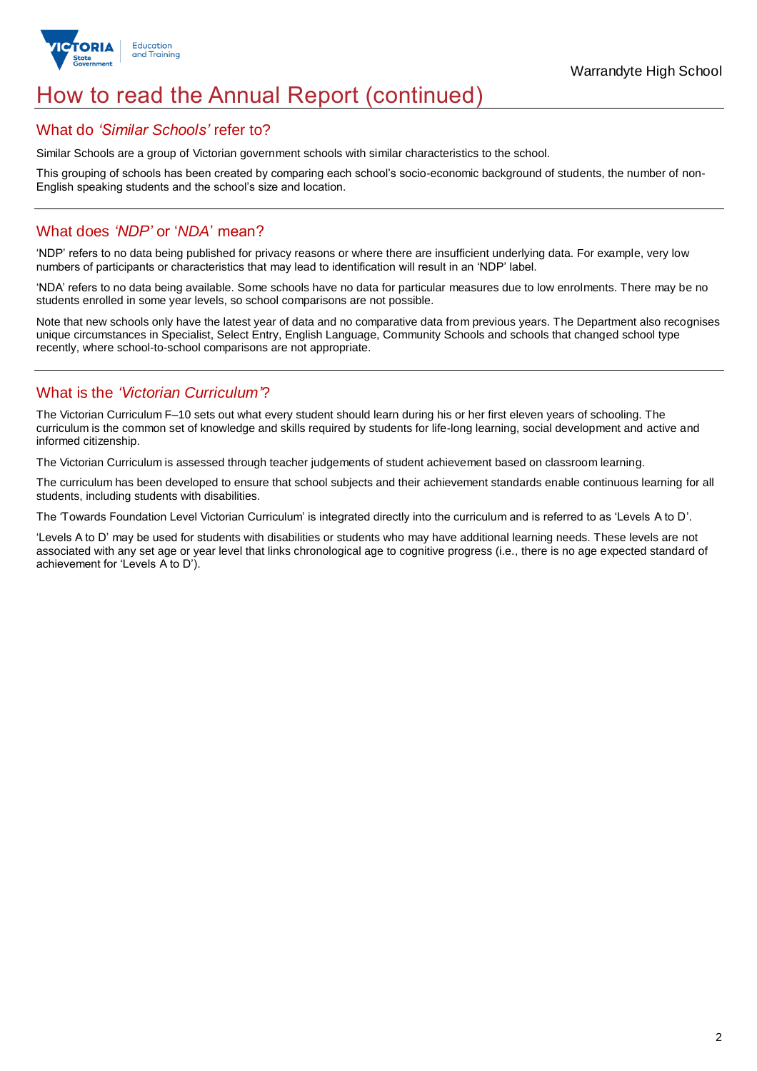

# How to read the Annual Report (continued)

### What do *'Similar Schools'* refer to?

Similar Schools are a group of Victorian government schools with similar characteristics to the school.

This grouping of schools has been created by comparing each school's socio-economic background of students, the number of non-English speaking students and the school's size and location.

## What does *'NDP'* or '*NDA*' mean?

'NDP' refers to no data being published for privacy reasons or where there are insufficient underlying data. For example, very low numbers of participants or characteristics that may lead to identification will result in an 'NDP' label.

'NDA' refers to no data being available. Some schools have no data for particular measures due to low enrolments. There may be no students enrolled in some year levels, so school comparisons are not possible.

Note that new schools only have the latest year of data and no comparative data from previous years. The Department also recognises unique circumstances in Specialist, Select Entry, English Language, Community Schools and schools that changed school type recently, where school-to-school comparisons are not appropriate.

## What is the *'Victorian Curriculum'*?

The Victorian Curriculum F–10 sets out what every student should learn during his or her first eleven years of schooling. The curriculum is the common set of knowledge and skills required by students for life-long learning, social development and active and informed citizenship.

The Victorian Curriculum is assessed through teacher judgements of student achievement based on classroom learning.

The curriculum has been developed to ensure that school subjects and their achievement standards enable continuous learning for all students, including students with disabilities.

The 'Towards Foundation Level Victorian Curriculum' is integrated directly into the curriculum and is referred to as 'Levels A to D'.

'Levels A to D' may be used for students with disabilities or students who may have additional learning needs. These levels are not associated with any set age or year level that links chronological age to cognitive progress (i.e., there is no age expected standard of achievement for 'Levels A to D').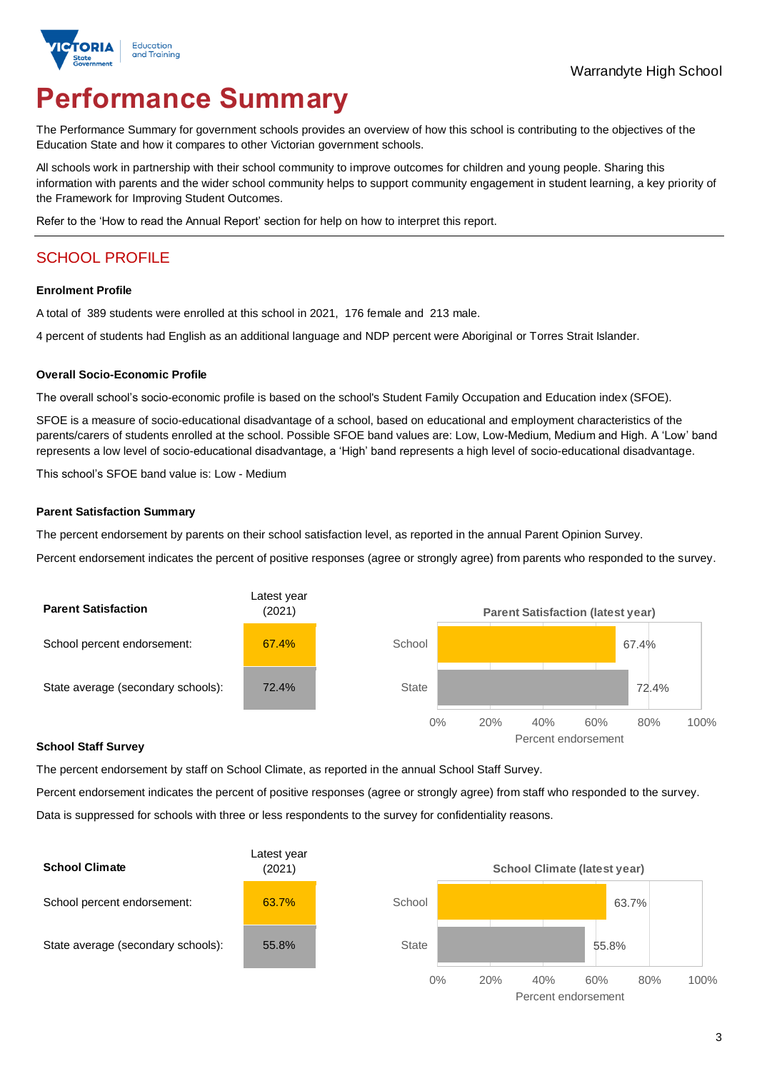

# **Performance Summary**

The Performance Summary for government schools provides an overview of how this school is contributing to the objectives of the Education State and how it compares to other Victorian government schools.

All schools work in partnership with their school community to improve outcomes for children and young people. Sharing this information with parents and the wider school community helps to support community engagement in student learning, a key priority of the Framework for Improving Student Outcomes.

Refer to the 'How to read the Annual Report' section for help on how to interpret this report.

# SCHOOL PROFILE

#### **Enrolment Profile**

A total of 389 students were enrolled at this school in 2021, 176 female and 213 male.

4 percent of students had English as an additional language and NDP percent were Aboriginal or Torres Strait Islander.

#### **Overall Socio-Economic Profile**

The overall school's socio-economic profile is based on the school's Student Family Occupation and Education index (SFOE).

SFOE is a measure of socio-educational disadvantage of a school, based on educational and employment characteristics of the parents/carers of students enrolled at the school. Possible SFOE band values are: Low, Low-Medium, Medium and High. A 'Low' band represents a low level of socio-educational disadvantage, a 'High' band represents a high level of socio-educational disadvantage.

This school's SFOE band value is: Low - Medium

#### **Parent Satisfaction Summary**

The percent endorsement by parents on their school satisfaction level, as reported in the annual Parent Opinion Survey.

Percent endorsement indicates the percent of positive responses (agree or strongly agree) from parents who responded to the survey.



#### **School Staff Survey**

The percent endorsement by staff on School Climate, as reported in the annual School Staff Survey.

Percent endorsement indicates the percent of positive responses (agree or strongly agree) from staff who responded to the survey. Data is suppressed for schools with three or less respondents to the survey for confidentiality reasons.

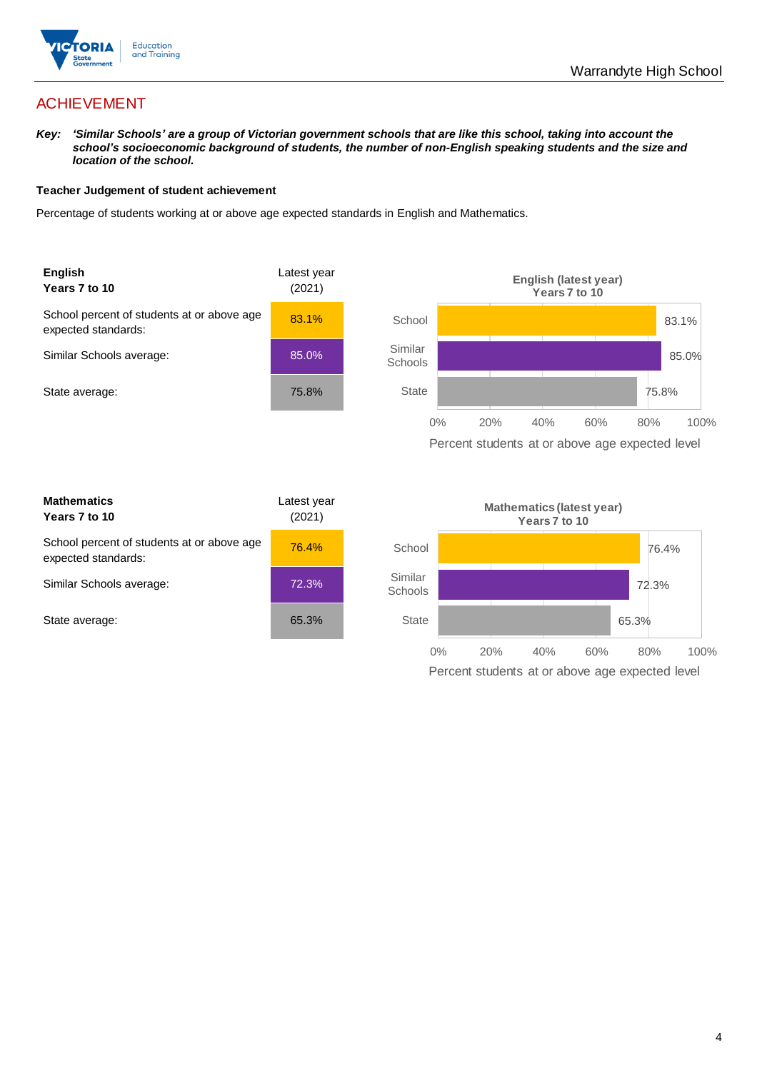

## ACHIEVEMENT

*Key: 'Similar Schools' are a group of Victorian government schools that are like this school, taking into account the school's socioeconomic background of students, the number of non-English speaking students and the size and location of the school.*

#### **Teacher Judgement of student achievement**

Percentage of students working at or above age expected standards in English and Mathematics.



| <b>Mathematics</b><br>Years 7 to 10                               | Latest year<br>(2021) |  |
|-------------------------------------------------------------------|-----------------------|--|
| School percent of students at or above age<br>expected standards: | 76.4%                 |  |
| Similar Schools average:                                          | 72.3%                 |  |
| State average:                                                    | 65.3%                 |  |

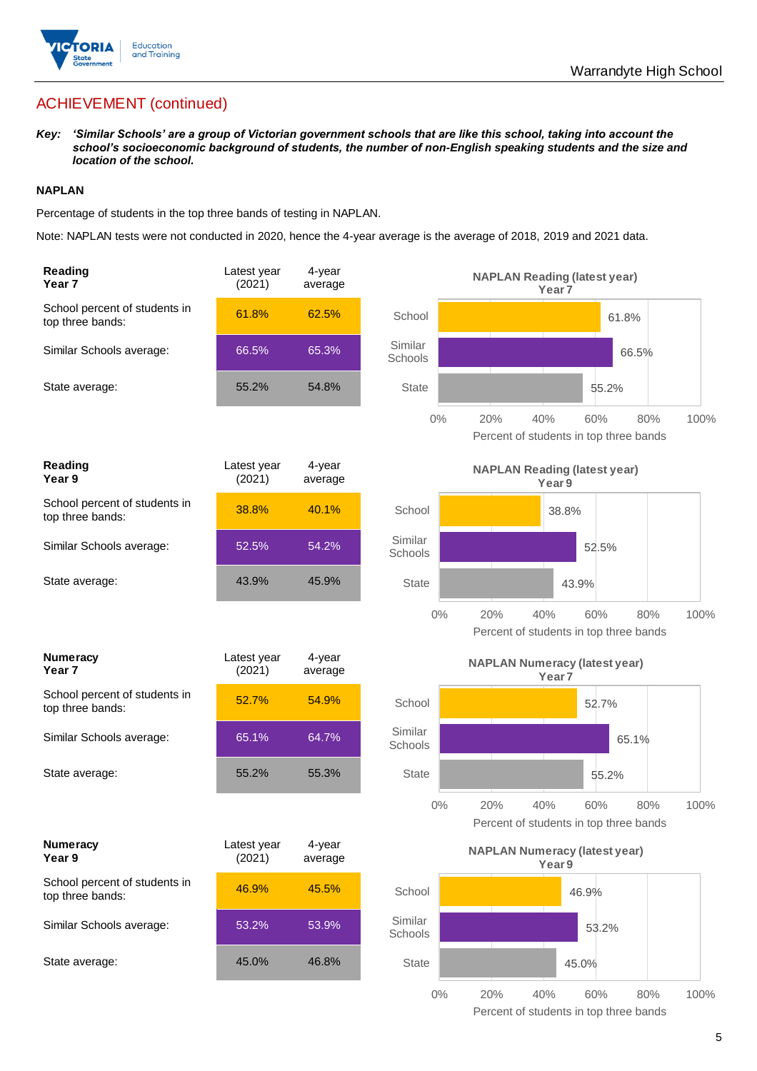

# ACHIEVEMENT (continued)

*Key: 'Similar Schools' are a group of Victorian government schools that are like this school, taking into account the school's socioeconomic background of students, the number of non-English speaking students and the size and location of the school.*

#### **NAPLAN**

Percentage of students in the top three bands of testing in NAPLAN.

Note: NAPLAN tests were not conducted in 2020, hence the 4-year average is the average of 2018, 2019 and 2021 data.

| Reading<br>Year <sub>7</sub>                      | Latest year<br>(2021) | $4$ -year<br>average |                    | <b>NAPLAN Reading (latest year)</b>           | Year <sub>7</sub> |       |       |      |
|---------------------------------------------------|-----------------------|----------------------|--------------------|-----------------------------------------------|-------------------|-------|-------|------|
| School percent of students in<br>top three bands: | 61.8%                 | 62.5%                | School             |                                               |                   |       | 61.8% |      |
| Similar Schools average:                          | 66.5%                 | 65.3%                | Similar<br>Schools |                                               |                   |       | 66.5% |      |
| State average:                                    | 55.2%                 | 54.8%                | <b>State</b>       |                                               |                   | 55.2% |       |      |
|                                                   |                       |                      | $0\%$              | 20%<br>Percent of students in top three bands | 40%               | 60%   | 80%   | 100% |
| Reading<br>Year 9                                 | Latest year<br>(2021) | 4-year<br>average    |                    | <b>NAPLAN Reading (latest year)</b>           | Year <sub>9</sub> |       |       |      |
| School percent of students in<br>top three bands: | 38.8%                 | 40.1%                | School             |                                               | 38.8%             |       |       |      |
| Similar Schools average:                          | 52.5%                 | 54.2%                | Similar<br>Schools |                                               |                   | 52.5% |       |      |
| State average:                                    | 43.9%                 | 45.9%                | <b>State</b>       |                                               |                   | 43.9% |       |      |
|                                                   |                       |                      | $0\%$              | 20%<br>Percent of students in top three bands | 40%               | 60%   | 80%   | 100% |
| <b>Numeracy</b><br>Year 7                         | Latest year<br>(2021) | 4-year<br>average    |                    | <b>NAPLAN Numeracy (latest year)</b>          | Year <sub>7</sub> |       |       |      |
| School percent of students in<br>top three bands: | 52.7%                 | 54.9%                | School             |                                               |                   | 52.7% |       |      |
| Similar Schools average:                          | 65.1%                 | 64.7%                | Similar<br>Schools |                                               |                   |       | 65.1% |      |
| State average:                                    | 55.2%                 | 55.3%                | <b>State</b>       |                                               |                   | 55.2% |       |      |
|                                                   |                       |                      | $0\%$              | 20%<br>Percent of students in top three bands | 40%               | 60%   | 80%   | 100% |
| <b>Numeracy</b><br>Year 9                         | Latest year<br>(2021) | 4-year<br>average    |                    | <b>NAPLAN Numeracy (latest year)</b>          | Year <sub>9</sub> |       |       |      |
| School percent of students in<br>top three bands: | 46.9%                 | 45.5%                | School             |                                               |                   | 46.9% |       |      |
| Similar Schools average:                          | 53.2%                 | 53.9%                | Similar<br>Schools |                                               |                   | 53.2% |       |      |
| State average:                                    | 45.0%                 | 46.8%                | <b>State</b>       |                                               |                   | 45.0% |       |      |
|                                                   |                       |                      | $0\%$              | 20%                                           | 40%               | 60%   | 80%   | 100% |

Percent of students in top three bands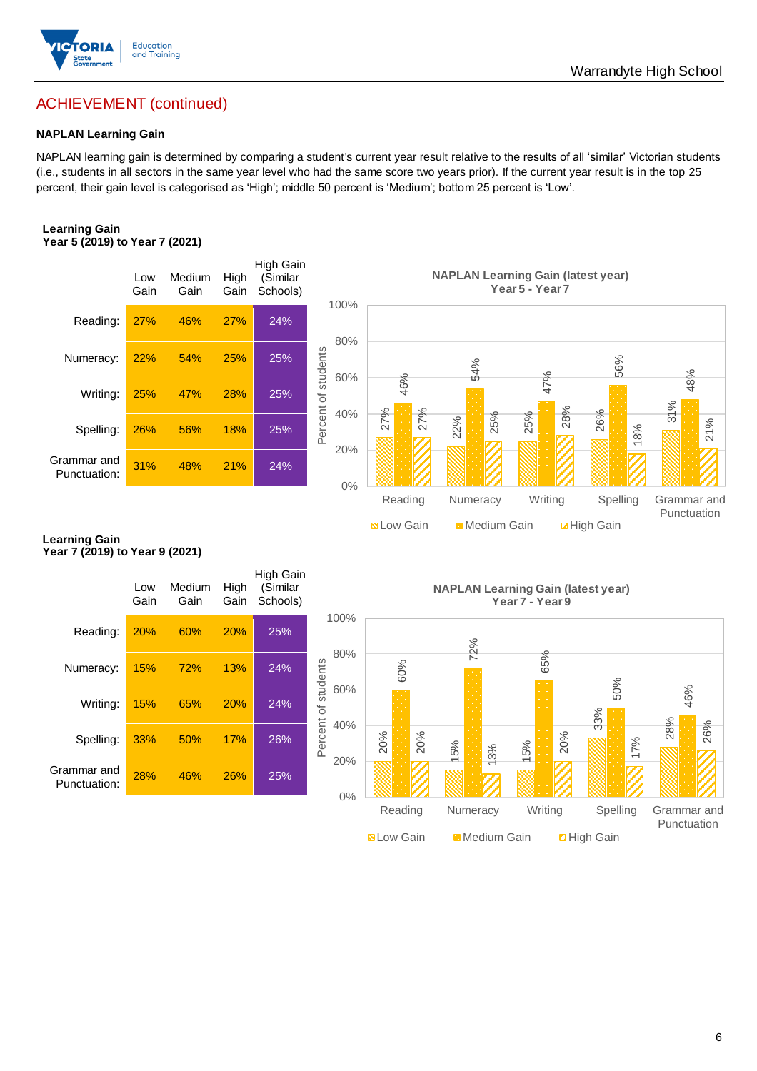

## ACHIEVEMENT (continued)

#### **NAPLAN Learning Gain**

NAPLAN learning gain is determined by comparing a student's current year result relative to the results of all 'similar' Victorian students (i.e., students in all sectors in the same year level who had the same score two years prior). If the current year result is in the top 25 percent, their gain level is categorised as 'High'; middle 50 percent is 'Medium'; bottom 25 percent is 'Low'.

#### **Learning Gain Year 5 (2019) to Year 7 (2021)**



#### **Learning Gain Year 7 (2019) to Year 9 (2021)**

|                             | Low<br>Gain | Medium<br>Gain | High<br>Gain | High Gain<br>(Similar<br>Schools) | 100%               |            |
|-----------------------------|-------------|----------------|--------------|-----------------------------------|--------------------|------------|
| Reading:                    | 20%         | 60%            | 20%          | 25%                               |                    |            |
| Numeracy:                   | 15%         | <b>72%</b>     | 13%          | 24%                               | 80%<br>of students |            |
| Writing:                    | 15%         | 65%            | 20%          | 24%                               | 60%                |            |
| Spelling:                   | 33%         | 50%            | 17%          | 26%                               | Percent<br>40%     | <b>200</b> |
| Grammar and<br>Punctuation: | 28%         | 46%            | 26%          | 25%                               | 20%                |            |
|                             |             |                |              |                                   | 0%                 |            |

**NAPLAN Learning Gain (latest year) Year 7 - Year 9**

Now Gain Medium Gain **Exercise** 

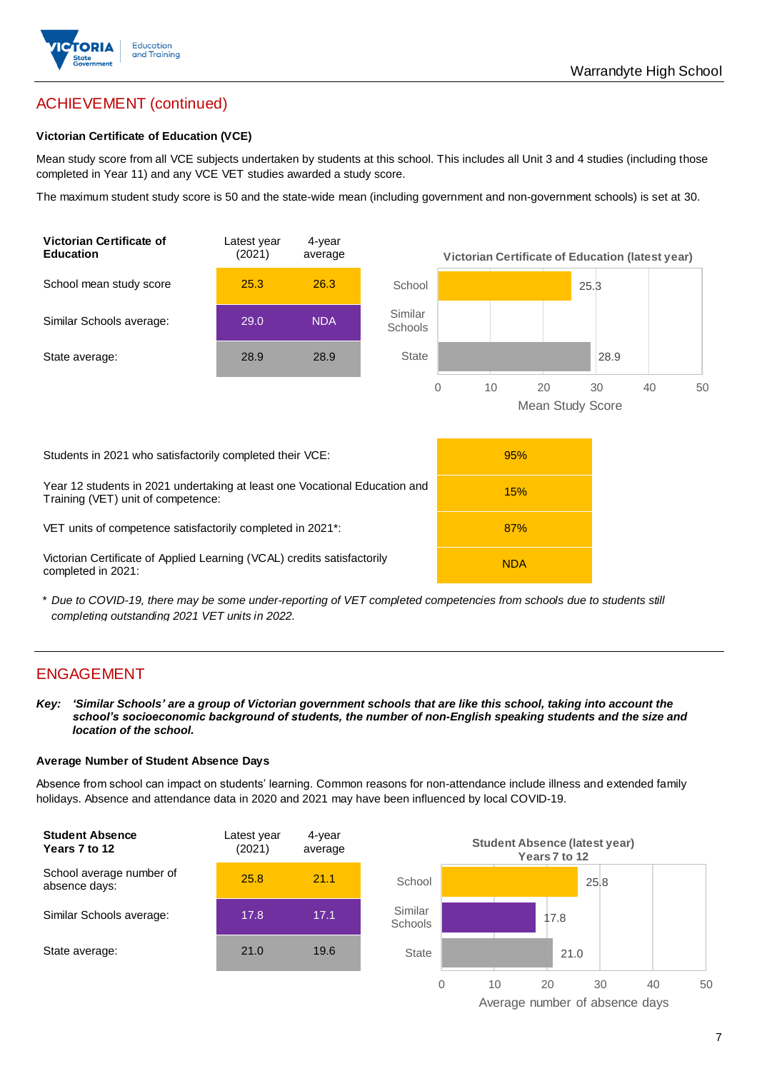

# ACHIEVEMENT (continued)

#### **Victorian Certificate of Education (VCE)**

Mean study score from all VCE subjects undertaken by students at this school. This includes all Unit 3 and 4 studies (including those completed in Year 11) and any VCE VET studies awarded a study score.

The maximum student study score is 50 and the state-wide mean (including government and non-government schools) is set at 30.



\* *Due to COVID-19, there may be some under-reporting of VET completed competencies from schools due to students still completing outstanding 2021 VET units in 2022.*

### ENGAGEMENT

*Key: 'Similar Schools' are a group of Victorian government schools that are like this school, taking into account the*  school's socioeconomic background of students, the number of non-English speaking students and the size and *location of the school.*

#### **Average Number of Student Absence Days**

Absence from school can impact on students' learning. Common reasons for non-attendance include illness and extended family holidays. Absence and attendance data in 2020 and 2021 may have been influenced by local COVID-19.



Average number of absence days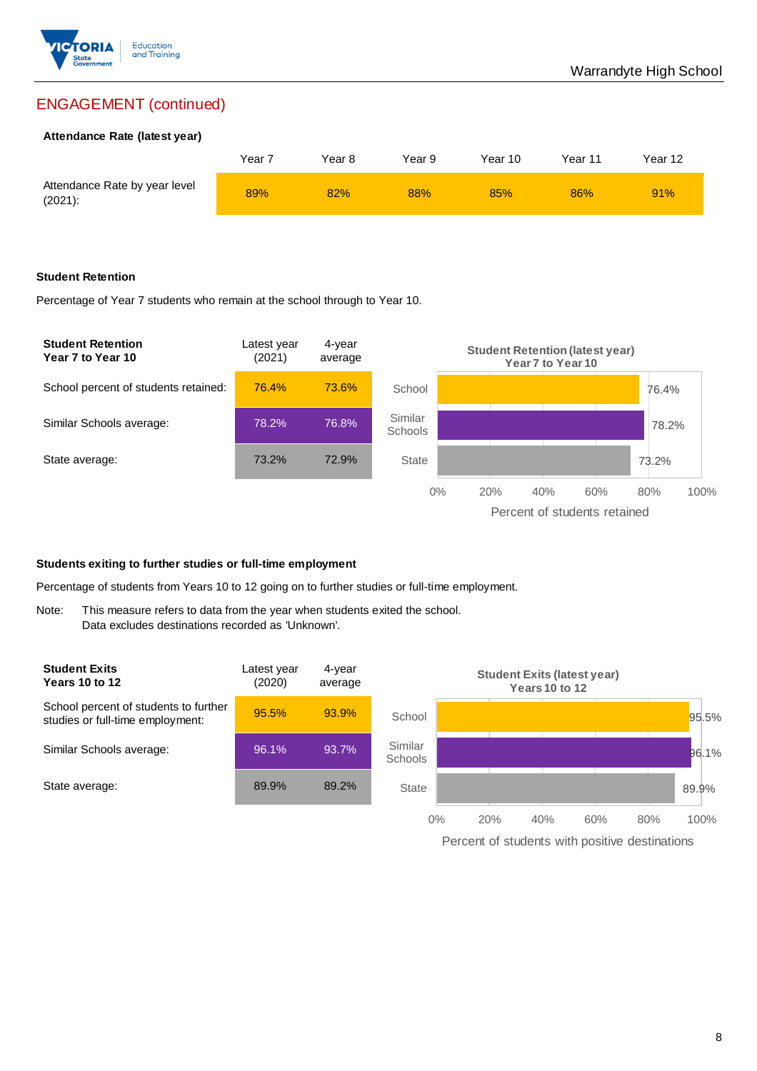

## ENGAGEMENT (continued)

#### **Attendance Rate (latest year)**

|                                             | Year <sub>7</sub> | Year 8 | Year 9 | Year 10 | Year 11 | Year 12 |
|---------------------------------------------|-------------------|--------|--------|---------|---------|---------|
| Attendance Rate by year level<br>$(2021)$ : | 89%               | 82%    | 88%    | 85%     | 86%     | 91%     |

#### **Student Retention**

Percentage of Year 7 students who remain at the school through to Year 10.



#### **Students exiting to further studies or full-time employment**

Percentage of students from Years 10 to 12 going on to further studies or full-time employment.

Note: This measure refers to data from the year when students exited the school. Data excludes destinations recorded as 'Unknown'.

| <b>Student Exits</b><br>Years 10 to 12                                    | Latest year<br>(2020) | 4-year<br>average |                           |       |     | Years 10 to 12 | <b>Student Exits (latest year)</b> |     |       |
|---------------------------------------------------------------------------|-----------------------|-------------------|---------------------------|-------|-----|----------------|------------------------------------|-----|-------|
| School percent of students to further<br>studies or full-time employment: | 95.5%                 | 93.9%             | School                    |       |     |                |                                    |     | 95.5% |
| Similar Schools average:                                                  | 96.1%                 | 93.7%             | Similar<br><b>Schools</b> |       |     |                |                                    |     | 96.1% |
| State average:                                                            | 89.9%                 | 89.2%             | <b>State</b>              |       |     |                |                                    |     | 89.9% |
|                                                                           |                       |                   |                           | $0\%$ | 20% | 40%            | 60%                                | 80% | 100%  |

Percent of students with positive destinations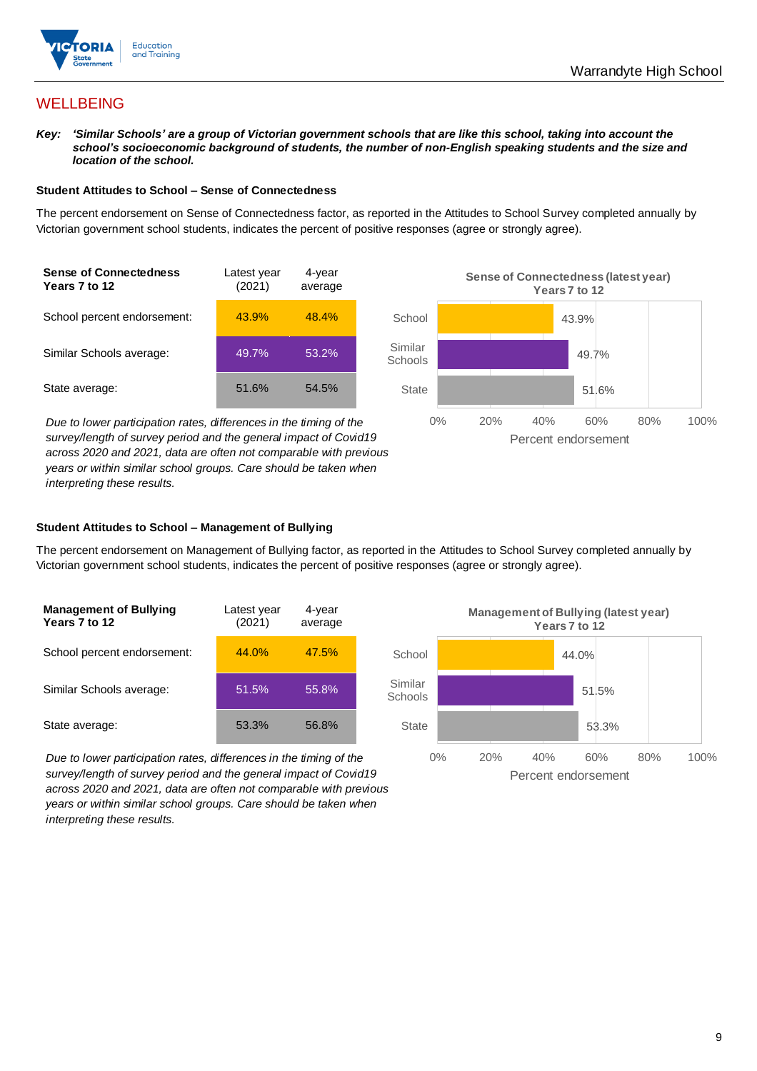

## **WELLBEING**

*Key: 'Similar Schools' are a group of Victorian government schools that are like this school, taking into account the*  school's socioeconomic background of students, the number of non-English speaking students and the size and *location of the school.*

#### **Student Attitudes to School – Sense of Connectedness**

The percent endorsement on Sense of Connectedness factor, as reported in the Attitudes to School Survey completed annually by Victorian government school students, indicates the percent of positive responses (agree or strongly agree).



*Due to lower participation rates, differences in the timing of the survey/length of survey period and the general impact of Covid19 across 2020 and 2021, data are often not comparable with previous years or within similar school groups. Care should be taken when interpreting these results.*



#### **Student Attitudes to School – Management of Bullying**

The percent endorsement on Management of Bullying factor, as reported in the Attitudes to School Survey completed annually by Victorian government school students, indicates the percent of positive responses (agree or strongly agree).

| <b>Management of Bullying</b><br>Years 7 to 12 | Latest year<br>(2021) | 4-year<br>average |  |
|------------------------------------------------|-----------------------|-------------------|--|
| School percent endorsement:                    | 44.0%                 | 47.5%             |  |
| Similar Schools average:                       | 51.5%                 | 55.8%             |  |
| State average:                                 | 53.3%                 | 56.8%             |  |

*Due to lower participation rates, differences in the timing of the survey/length of survey period and the general impact of Covid19 across 2020 and 2021, data are often not comparable with previous years or within similar school groups. Care should be taken when interpreting these results.*

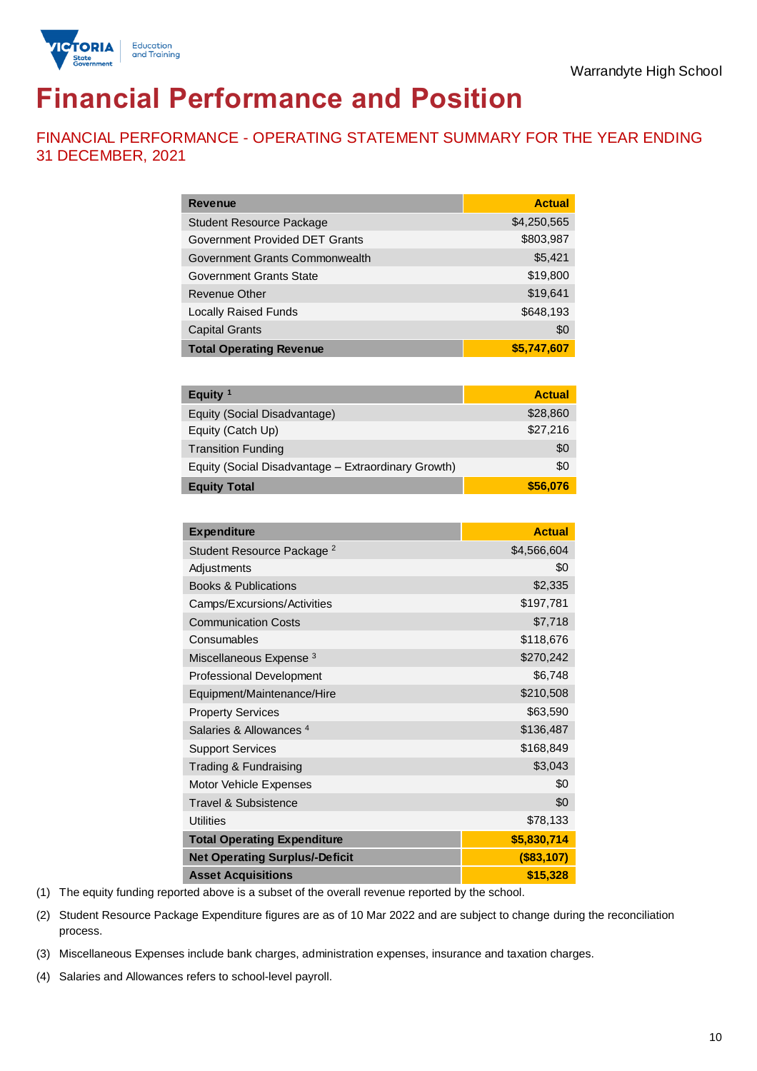

# **Financial Performance and Position**

FINANCIAL PERFORMANCE - OPERATING STATEMENT SUMMARY FOR THE YEAR ENDING 31 DECEMBER, 2021

| <b>Revenue</b>                  | <b>Actual</b> |
|---------------------------------|---------------|
| <b>Student Resource Package</b> | \$4,250,565   |
| Government Provided DET Grants  | \$803,987     |
| Government Grants Commonwealth  | \$5,421       |
| Government Grants State         | \$19,800      |
| Revenue Other                   | \$19,641      |
| <b>Locally Raised Funds</b>     | \$648,193     |
| <b>Capital Grants</b>           | \$0           |
| <b>Total Operating Revenue</b>  | \$5,747,607   |

| Equity $1$                                          | <b>Actual</b> |
|-----------------------------------------------------|---------------|
| Equity (Social Disadvantage)                        | \$28,860      |
| Equity (Catch Up)                                   | \$27,216      |
| <b>Transition Funding</b>                           | \$0           |
| Equity (Social Disadvantage - Extraordinary Growth) | \$0           |
| <b>Equity Total</b>                                 | \$56,076      |

| <b>Expenditure</b>                    | <b>Actual</b> |
|---------------------------------------|---------------|
| Student Resource Package <sup>2</sup> | \$4,566,604   |
| Adjustments                           | \$0           |
| <b>Books &amp; Publications</b>       | \$2,335       |
| Camps/Excursions/Activities           | \$197,781     |
| <b>Communication Costs</b>            | \$7,718       |
| Consumables                           | \$118,676     |
| Miscellaneous Expense <sup>3</sup>    | \$270,242     |
| <b>Professional Development</b>       | \$6,748       |
| Equipment/Maintenance/Hire            | \$210,508     |
| <b>Property Services</b>              | \$63,590      |
| Salaries & Allowances <sup>4</sup>    | \$136,487     |
| <b>Support Services</b>               | \$168,849     |
| Trading & Fundraising                 | \$3,043       |
| Motor Vehicle Expenses                | \$0           |
| Travel & Subsistence                  | \$0           |
| <b>Utilities</b>                      | \$78,133      |
| <b>Total Operating Expenditure</b>    | \$5,830,714   |
| <b>Net Operating Surplus/-Deficit</b> | (\$83,107)    |
| <b>Asset Acquisitions</b>             | \$15,328      |

(1) The equity funding reported above is a subset of the overall revenue reported by the school.

(2) Student Resource Package Expenditure figures are as of 10 Mar 2022 and are subject to change during the reconciliation process.

(3) Miscellaneous Expenses include bank charges, administration expenses, insurance and taxation charges.

(4) Salaries and Allowances refers to school-level payroll.